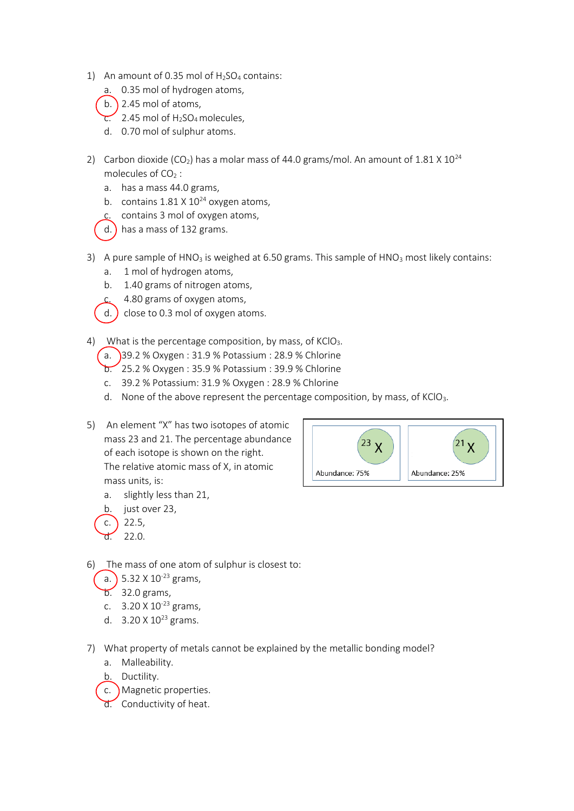- 1) An amount of 0.35 mol of  $H<sub>2</sub>SO<sub>4</sub>$  contains:
	- a. 0.35 mol of hydrogen atoms,
	- b.  $\big)$  2.45 mol of atoms,
	- $\overline{c}$ . 2.45 mol of H<sub>2</sub>SO<sub>4</sub> molecules,
	- d. 0.70 mol of sulphur atoms.
- 2) Carbon dioxide (CO<sub>2</sub>) has a molar mass of 44.0 grams/mol. An amount of  $1.81 \times 10^{24}$ molecules of  $CO<sub>2</sub>$ :
	- a. has a mass 44.0 grams,
	- b. contains  $1.81 \times 10^{24}$  oxygen atoms,
	- c. contains 3 mol of oxygen atoms,
	- d.) has a mass of 132 grams.
- 3) A pure sample of  $HNO<sub>3</sub>$  is weighed at 6.50 grams. This sample of  $HNO<sub>3</sub>$  most likely contains:
	- a. 1 mol of hydrogen atoms,
	- b. 1.40 grams of nitrogen atoms,
	- c. 4.80 grams of oxygen atoms,
	- d.  $\overline{a}$  close to 0.3 mol of oxygen atoms.
- 4) What is the percentage composition, by mass, of  $KClO<sub>3</sub>$ .
	- $(a. )$ 39.2 % Oxygen : 31.9 % Potassium : 28.9 % Chlorine
	- b. 25.2 % Oxygen : 35.9 % Potassium : 39.9 % Chlorine
	- c. 39.2 % Potassium: 31.9 % Oxygen : 28.9 % Chlorine
	- d. None of the above represent the percentage composition, by mass, of  $KClO<sub>3</sub>$ .
- 5) An element "X" has two isotopes of atomic mass 23 and 21. The percentage abundance of each isotope is shown on the right. The relative atomic mass of X, in atomic mass units, is:
	- a. slightly less than 21,
	- b. just over 23,
	- c.  $22.5$ .  $d. 22.0.$
- $23 \times$  $^{21}$ X Abundance: 75% Abundance: 25%
- 6) The mass of one atom of sulphur is closest to:
	- a.  $5.32 \times 10^{-23}$  grams,
	- $b. 32.0$  grams,
	- c.  $3.20 \times 10^{-23}$  grams,
	- d.  $3.20 \times 10^{23}$  grams.
- 7) What property of metals cannot be explained by the metallic bonding model?
	- a. Malleability.
	- b. Ductility.
	- c. Magnetic properties.
	- d. Conductivity of heat.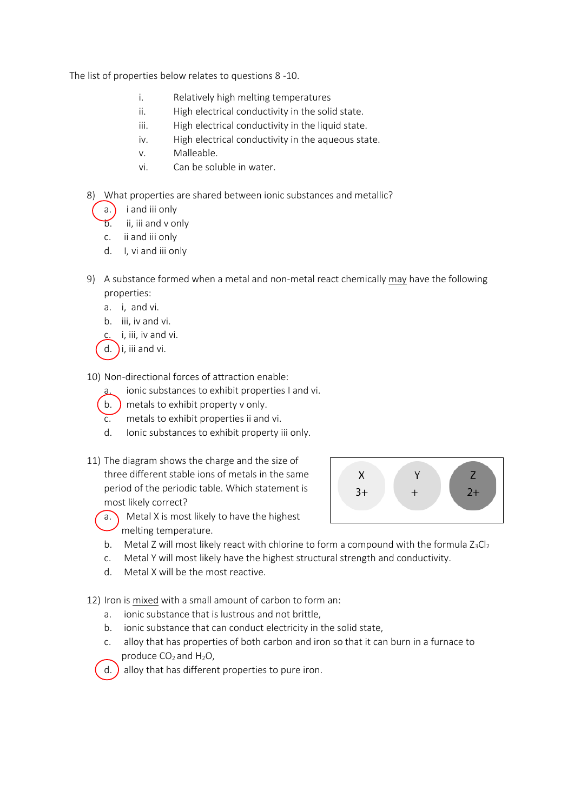The list of properties below relates to questions 8 -10.

- i. Relatively high melting temperatures
- ii. High electrical conductivity in the solid state.
- iii. High electrical conductivity in the liquid state.
- iv. High electrical conductivity in the aqueous state.
- v. Malleable.
- vi. Can be soluble in water.
- 8) What properties are shared between ionic substances and metallic?
	- a.  $\int$  i and iii only
	- b. ii, iii and v only
	- c. ii and iii only
	- d. I, vi and iii only
- 9) A substance formed when a metal and non-metal react chemically may have the following properties:
	- a. i, and vi.
	- b. iii, iv and vi.
	- c. i, iii, iv and vi.
	- d.  $\overline{\phantom{a}}$ i, iii and vi.

10) Non-directional forces of attraction enable:

- ionic substances to exhibit properties I and vi.
- b. ) metals to exhibit property v only.
- c. metals to exhibit properties ii and vi.
- d. Ionic substances to exhibit property iii only.
- 11) The diagram shows the charge and the size of three different stable ions of metals in the same period of the periodic table. Which statement is most likely correct?



- a. Metal X is most likely to have the highest melting temperature.
- b. Metal Z will most likely react with chlorine to form a compound with the formula  $Z_3Cl_2$
- c. Metal Y will most likely have the highest structural strength and conductivity.
- d. Metal X will be the most reactive.

12) Iron is mixed with a small amount of carbon to form an:

- a. ionic substance that is lustrous and not brittle,
- b. ionic substance that can conduct electricity in the solid state,
- c. alloy that has properties of both carbon and iron so that it can burn in a furnace to produce  $CO<sub>2</sub>$  and  $H<sub>2</sub>O$ ,

d. ) alloy that has different properties to pure iron.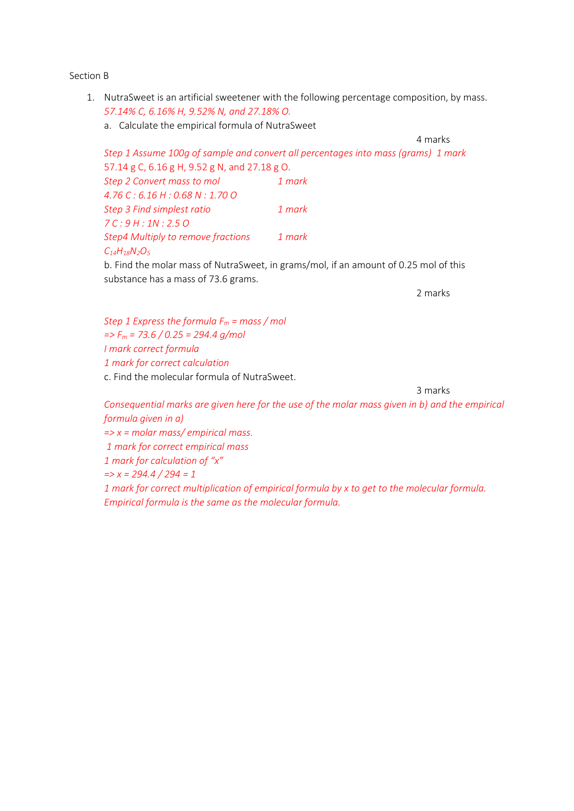Section B

- 1. NutraSweet is an artificial sweetener with the following percentage composition, by mass. *57.14% C, 6.16% H, 9.52% N, and 27.18% O.*
	- a. Calculate the empirical formula of NutraSweet

4 marks

*Step 1 Assume 100g of sample and convert all percentages into mass (grams) 1 mark* 57.14 g C, 6.16 g H, 9.52 g N, and 27.18 g O. *Step 2 Convert mass to mol 1 mark 4.76 C : 6.16 H : 0.68 N : 1.70 O Step 3 Find simplest ratio 1 mark 7 C : 9 H : 1N : 2.5 O Step4 Multiply to remove fractions 1 mark C14H18N2O<sup>5</sup>*

b. Find the molar mass of NutraSweet, in grams/mol, if an amount of 0.25 mol of this substance has a mass of 73.6 grams.

2 marks

*Step 1 Express the formula F<sup>m</sup> = mass / mol => F<sup>m</sup> = 73.6 / 0.25 = 294.4 g/mol I mark correct formula 1 mark for correct calculation* c. Find the molecular formula of NutraSweet.

3 marks

*Consequential marks are given here for the use of the molar mass given in b) and the empirical formula given in a) => x = molar mass/ empirical mass. 1 mark for correct empirical mass 1 mark for calculation of "x" => x = 294.4 / 294 = 1 1 mark for correct multiplication of empirical formula by x to get to the molecular formula. Empirical formula is the same as the molecular formula.*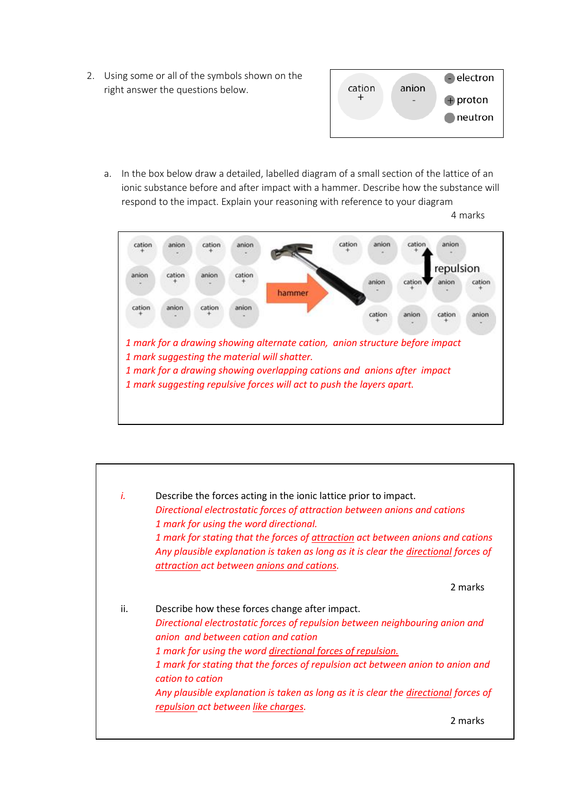2. Using some or all of the symbols shown on the right answer the questions below.



a. In the box below draw a detailed, labelled diagram of a small section of the lattice of an ionic substance before and after impact with a hammer. Describe how the substance will respond to the impact. Explain your reasoning with reference to your diagram

4 marks



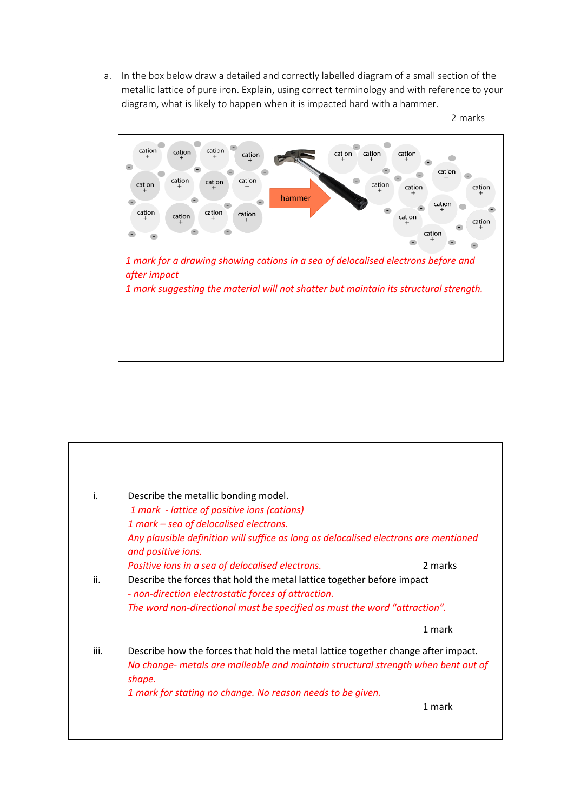a. In the box below draw a detailed and correctly labelled diagram of a small section of the metallic lattice of pure iron. Explain, using correct terminology and with reference to your diagram, what is likely to happen when it is impacted hard with a hammer.





| iii. | Describe how the forces that hold the metal lattice together change after impact.<br>No change- metals are malleable and maintain structural strength when bent out of<br>shape.<br>1 mark for stating no change. No reason needs to be given. |        |  |
|------|------------------------------------------------------------------------------------------------------------------------------------------------------------------------------------------------------------------------------------------------|--------|--|
|      |                                                                                                                                                                                                                                                | 1 mark |  |
|      | - non-direction electrostatic forces of attraction.<br>The word non-directional must be specified as must the word "attraction".                                                                                                               |        |  |
| ii.  | 2 marks<br>Positive ions in a sea of delocalised electrons.<br>Describe the forces that hold the metal lattice together before impact                                                                                                          |        |  |
|      | Any plausible definition will suffice as long as delocalised electrons are mentioned<br>and positive ions.                                                                                                                                     |        |  |
|      | 1 mark - lattice of positive ions (cations)<br>1 mark – sea of delocalised electrons.                                                                                                                                                          |        |  |
| i.   | Describe the metallic bonding model.                                                                                                                                                                                                           |        |  |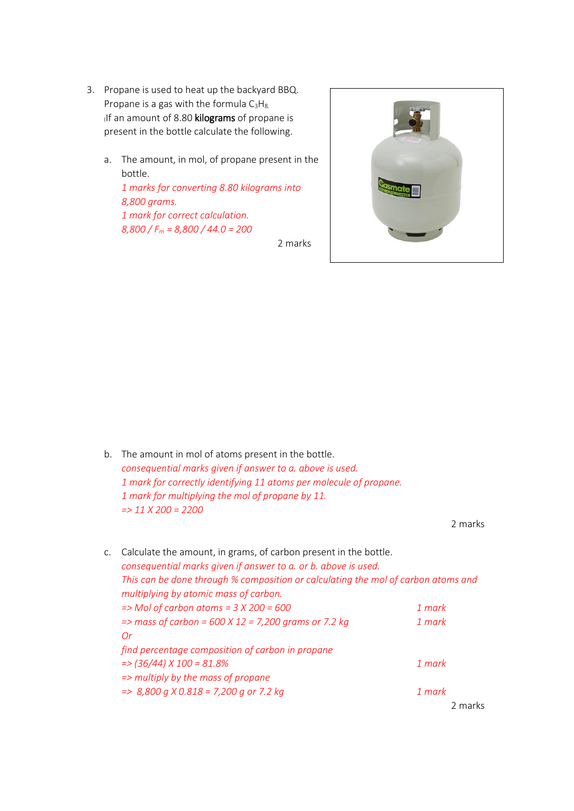- 3. Propane is used to heat up the backyard BBQ. Propane is a gas with the formula  $C_3H_{8.}$ If an amount of 8.80 kilograms of propane is present in the bottle calculate the following.
	- a. The amount, in mol, of propane present in the bottle.

*1 marks for converting 8.80 kilograms into 8,800 grams. 1 mark for correct calculation. 8,800 / F<sup>m</sup> = 8,800 / 44.0 = 200*

2 marks



2 marks

| b. The amount in mol of atoms present in the bottle.               |  |  |
|--------------------------------------------------------------------|--|--|
| consequential marks given if answer to a. above is used.           |  |  |
| 1 mark for correctly identifying 11 atoms per molecule of propane. |  |  |
| 1 mark for multiplying the mol of propane by 11.                   |  |  |
| $\Rightarrow$ 11 X 200 = 2200                                      |  |  |
|                                                                    |  |  |
|                                                                    |  |  |

| C. | Calculate the amount, in grams, of carbon present in the bottle.<br>consequential marks given if answer to a. or b. above is used.<br>This can be done through % composition or calculating the mol of carbon atoms and<br>multiplying by atomic mass of carbon. |         |  |  |  |
|----|------------------------------------------------------------------------------------------------------------------------------------------------------------------------------------------------------------------------------------------------------------------|---------|--|--|--|
|    |                                                                                                                                                                                                                                                                  |         |  |  |  |
|    |                                                                                                                                                                                                                                                                  |         |  |  |  |
|    | $\Rightarrow$ Mol of carbon atoms = 3 X 200 = 600                                                                                                                                                                                                                | 1 mark  |  |  |  |
|    | $\Rightarrow$ mass of carbon = 600 X 12 = 7,200 grams or 7.2 kg                                                                                                                                                                                                  | 1 mark  |  |  |  |
|    | Or                                                                                                                                                                                                                                                               |         |  |  |  |
|    | find percentage composition of carbon in propane                                                                                                                                                                                                                 |         |  |  |  |
|    | $\approx$ (36/44) X 100 = 81.8%                                                                                                                                                                                                                                  | 1 mark  |  |  |  |
|    | => multiply by the mass of propane                                                                                                                                                                                                                               |         |  |  |  |
|    | $\Rightarrow$ 8,800 g X 0.818 = 7,200 g or 7.2 kg                                                                                                                                                                                                                | 1 mark  |  |  |  |
|    |                                                                                                                                                                                                                                                                  | 2 marks |  |  |  |